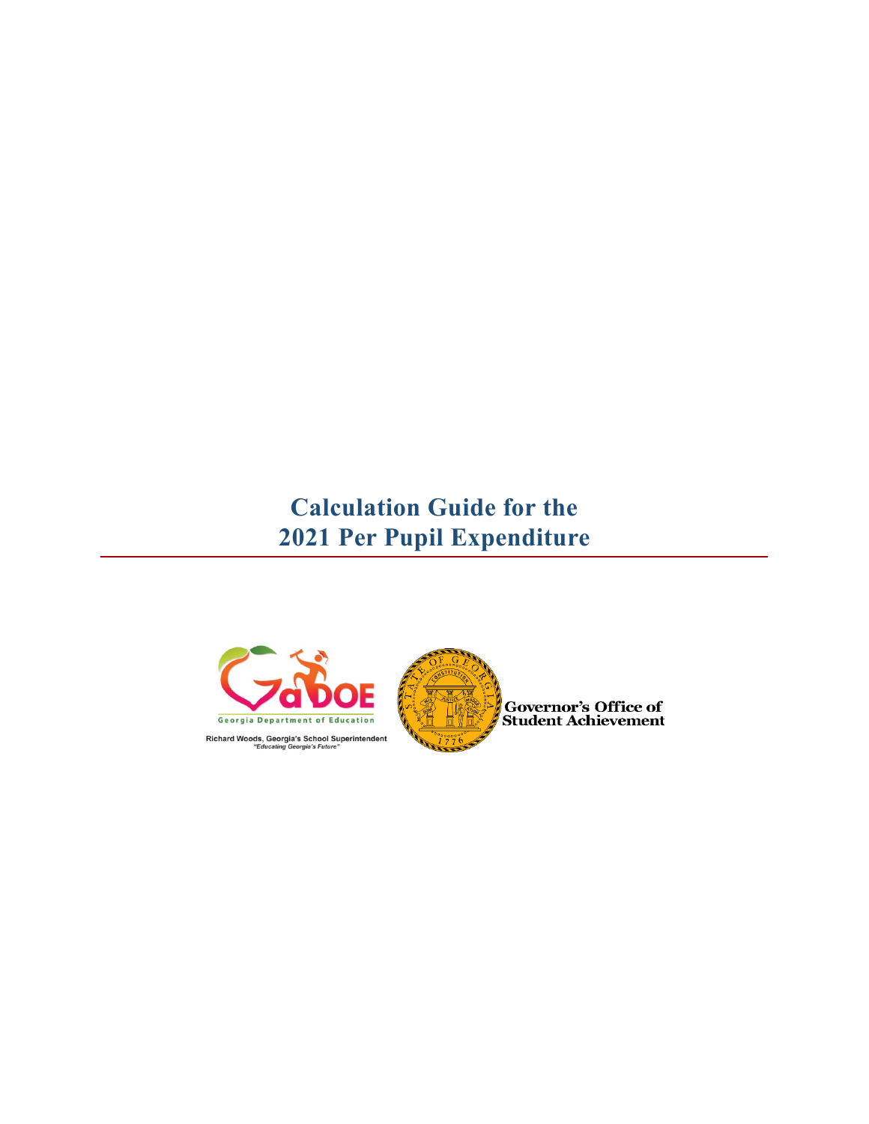# **Calculation Guide for the 2021 Per Pupil Expenditure**



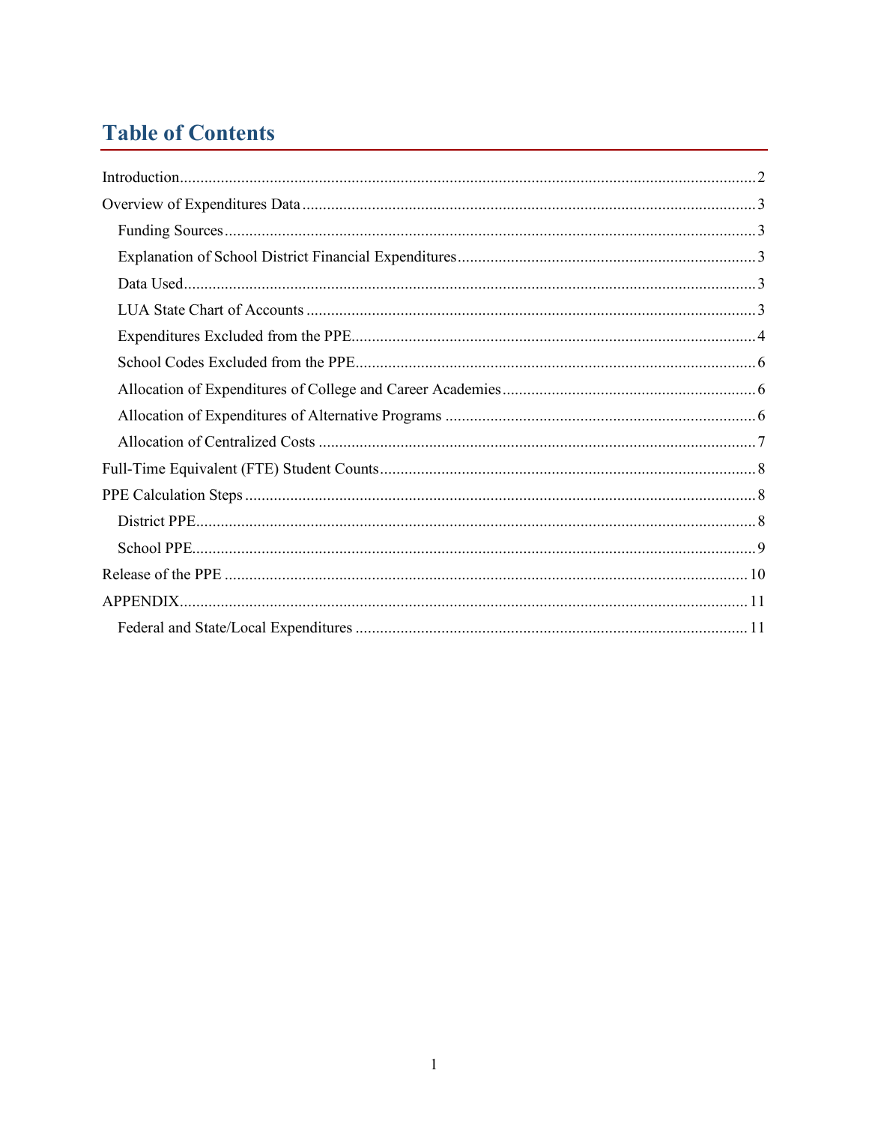## **Table of Contents**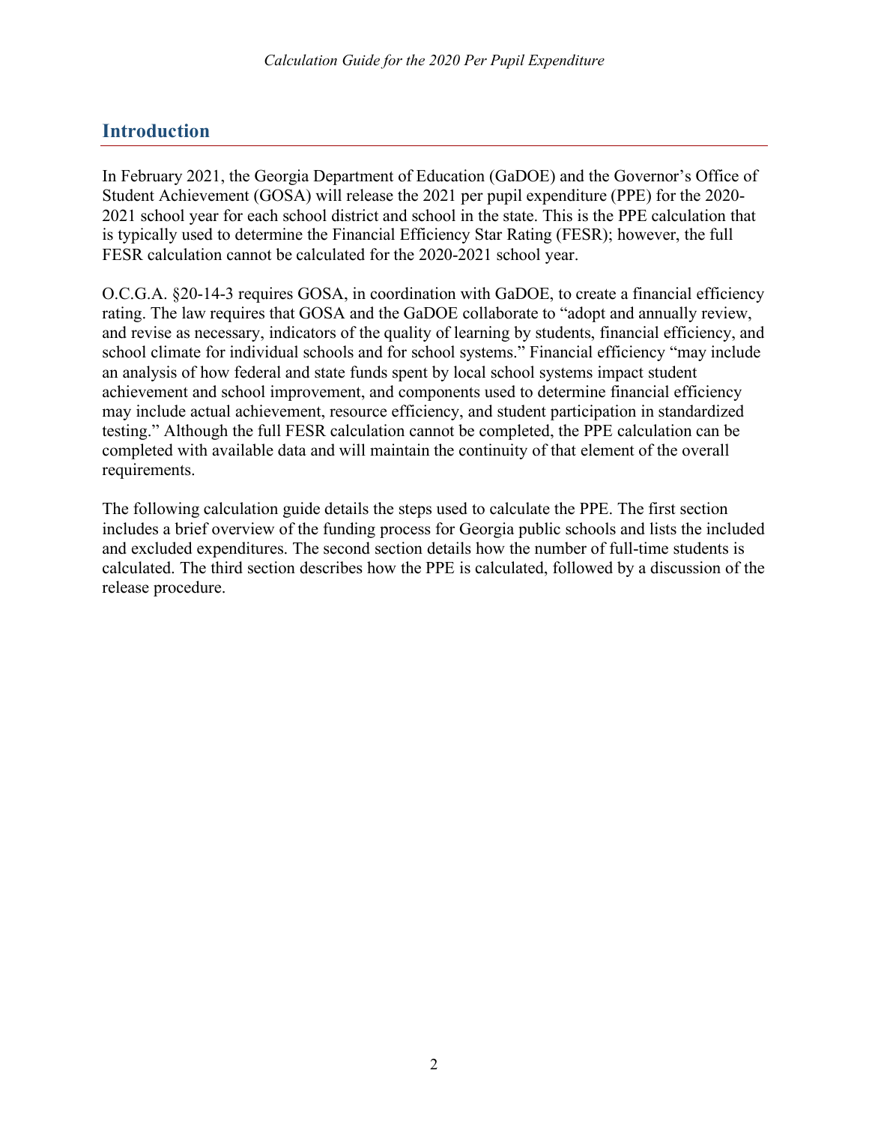## <span id="page-2-0"></span>**Introduction**

In February 2021, the Georgia Department of Education (GaDOE) and the Governor's Office of Student Achievement (GOSA) will release the 2021 per pupil expenditure (PPE) for the 2020- 2021 school year for each school district and school in the state. This is the PPE calculation that is typically used to determine the Financial Efficiency Star Rating (FESR); however, the full FESR calculation cannot be calculated for the 2020-2021 school year.

O.C.G.A. §20-14-3 requires GOSA, in coordination with GaDOE, to create a financial efficiency rating. The law requires that GOSA and the GaDOE collaborate to "adopt and annually review, and revise as necessary, indicators of the quality of learning by students, financial efficiency, and school climate for individual schools and for school systems." Financial efficiency "may include an analysis of how federal and state funds spent by local school systems impact student achievement and school improvement, and components used to determine financial efficiency may include actual achievement, resource efficiency, and student participation in standardized testing." Although the full FESR calculation cannot be completed, the PPE calculation can be completed with available data and will maintain the continuity of that element of the overall requirements.

The following calculation guide details the steps used to calculate the PPE. The first section includes a brief overview of the funding process for Georgia public schools and lists the included and excluded expenditures. The second section details how the number of full-time students is calculated. The third section describes how the PPE is calculated, followed by a discussion of the release procedure.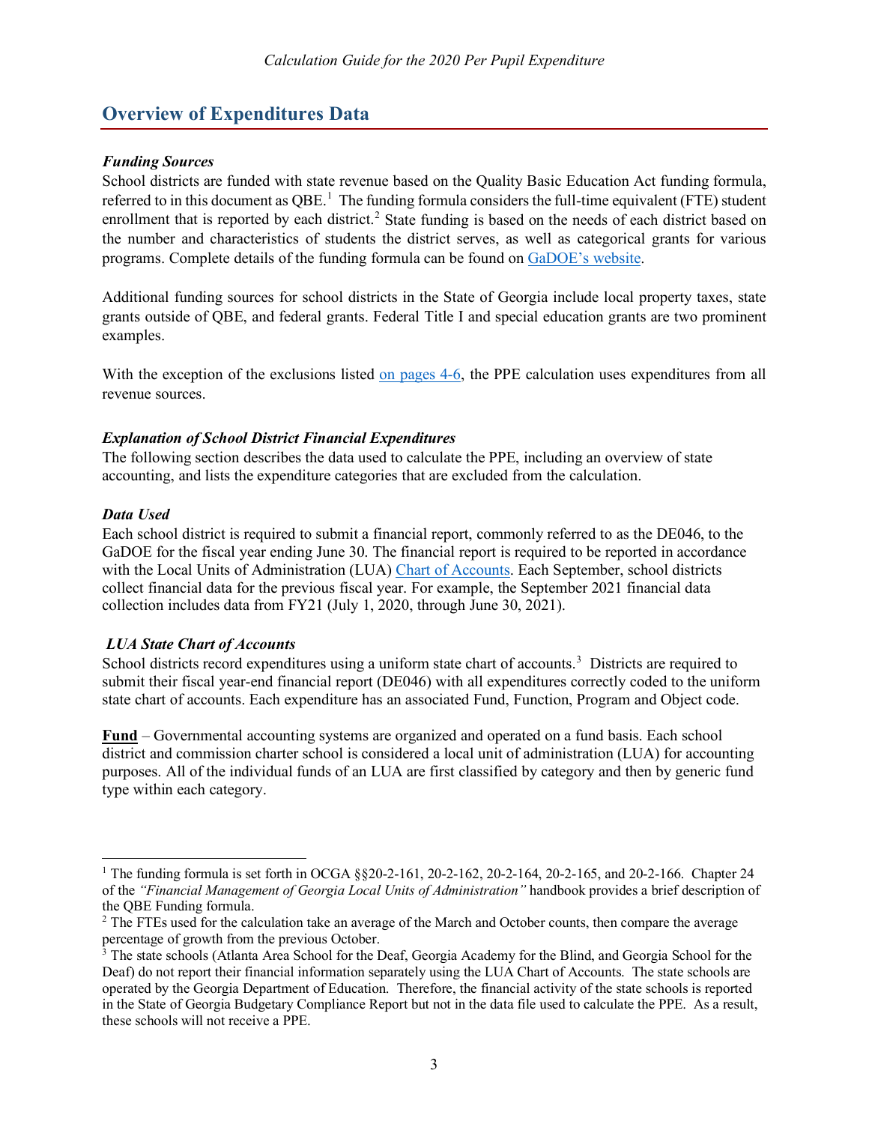## <span id="page-3-0"></span>**Overview of Expenditures Data**

#### <span id="page-3-1"></span>*Funding Sources*

School districts are funded with state revenue based on the Quality Basic Education Act funding formula, referred to in this document as  $QBE<sup>1</sup>$  $QBE<sup>1</sup>$  $QBE<sup>1</sup>$ . The funding formula considers the full-time equivalent (FTE) student enrollment that is reported by each district.<sup>[2](#page-3-6)</sup> State funding is based on the needs of each district based on the number and characteristics of students the district serves, as well as categorical grants for various programs. Complete details of the funding formula can be found on [GaDOE's website.](https://app.doe.k12.ga.us/ows-bin/owa/qbe_reports.public_menu?p_fy=2000)

Additional funding sources for school districts in the State of Georgia include local property taxes, state grants outside of QBE, and federal grants. Federal Title I and special education grants are two prominent examples.

With the exception of the exclusions listed [on](#page-4-0) [pages 4-6,](#page-4-0) the PPE calculation uses expenditures from all revenue sources.

#### <span id="page-3-2"></span>*Explanation of School District Financial Expenditures*

The following section describes the data used to calculate the PPE, including an overview of state accounting, and lists the expenditure categories that are excluded from the calculation.

#### <span id="page-3-3"></span>*Data Used*

Each school district is required to submit a financial report, commonly referred to as the DE046, to the GaDOE for the fiscal year ending June 30. The financial report is required to be reported in accordance with the Local Units of Administration (LUA) [Chart of Accounts.](http://archives.doe.k12.ga.us/fbo_financial.aspx?PageReq=FBOFinRevCOAB) Each September, school districts collect financial data for the previous fiscal year. For example, the September 2021 financial data collection includes data from FY21 (July 1, 2020, through June 30, 2021).

#### <span id="page-3-4"></span>*LUA State Chart of Accounts*

School districts record expenditures using a uniform state chart of accounts.<sup>[3](#page-3-7)</sup> Districts are required to submit their fiscal year-end financial report (DE046) with all expenditures correctly coded to the uniform state chart of accounts. Each expenditure has an associated Fund, Function, Program and Object code.

**Fund** – Governmental accounting systems are organized and operated on a fund basis. Each school district and commission charter school is considered a local unit of administration (LUA) for accounting purposes. All of the individual funds of an LUA are first classified by category and then by generic fund type within each category.

<span id="page-3-5"></span><sup>&</sup>lt;sup>1</sup> The funding formula is set forth in OCGA  $\{\$20-2-161, 20-2-162, 20-2-164, 20-2-165, \text{ and } 20-2-166\}$ . Chapter 24 of the *"Financial Management of Georgia Local Units of Administration"* handbook provides a brief description of the QBE Funding formula.

<span id="page-3-6"></span><sup>&</sup>lt;sup>2</sup> The FTEs used for the calculation take an average of the March and October counts, then compare the average percentage of growth from the previous October.

<span id="page-3-7"></span><sup>&</sup>lt;sup>3</sup> The state schools (Atlanta Area School for the Deaf, Georgia Academy for the Blind, and Georgia School for the Deaf) do not report their financial information separately using the LUA Chart of Accounts. The state schools are operated by the Georgia Department of Education. Therefore, the financial activity of the state schools is reported in the State of Georgia Budgetary Compliance Report but not in the data file used to calculate the PPE. As a result, these schools will not receive a PPE.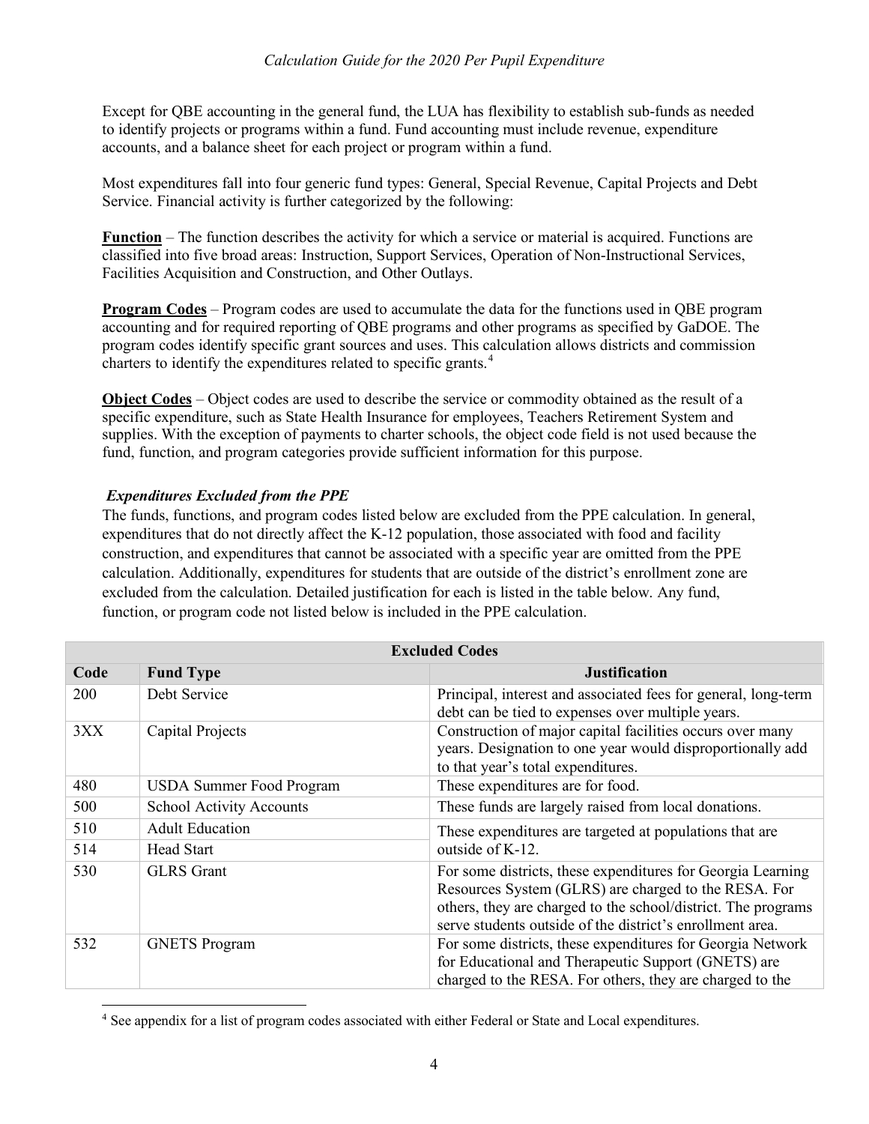Except for QBE accounting in the general fund, the LUA has flexibility to establish sub-funds as needed to identify projects or programs within a fund. Fund accounting must include revenue, expenditure accounts, and a balance sheet for each project or program within a fund.

Most expenditures fall into four generic fund types: General, Special Revenue, Capital Projects and Debt Service. Financial activity is further categorized by the following:

**Function** – The function describes the activity for which a service or material is acquired. Functions are classified into five broad areas: Instruction, Support Services, Operation of Non-Instructional Services, Facilities Acquisition and Construction, and Other Outlays.

**Program Codes** – Program codes are used to accumulate the data for the functions used in QBE program accounting and for required reporting of QBE programs and other programs as specified by GaDOE. The program codes identify specific grant sources and uses. This calculation allows districts and commission charters to identify the expenditures related to specific grants.<sup>[4](#page-4-1)</sup>

**Object Codes** – Object codes are used to describe the service or commodity obtained as the result of a specific expenditure, such as State Health Insurance for employees, Teachers Retirement System and supplies. With the exception of payments to charter schools, the object code field is not used because the fund, function, and program categories provide sufficient information for this purpose.

#### <span id="page-4-2"></span><span id="page-4-0"></span>*Expenditures Excluded from the PPE*

The funds, functions, and program codes listed below are excluded from the PPE calculation. In general, expenditures that do not directly affect the K-12 population, those associated with food and facility construction, and expenditures that cannot be associated with a specific year are omitted from the PPE calculation. Additionally, expenditures for students that are outside of the district's enrollment zone are excluded from the calculation. Detailed justification for each is listed in the table below. Any fund, function, or program code not listed below is included in the PPE calculation.

| <b>Excluded Codes</b> |                                 |                                                                                                                                                                                                                                                   |
|-----------------------|---------------------------------|---------------------------------------------------------------------------------------------------------------------------------------------------------------------------------------------------------------------------------------------------|
| Code                  | <b>Fund Type</b>                | <b>Justification</b>                                                                                                                                                                                                                              |
| <b>200</b>            | Debt Service                    | Principal, interest and associated fees for general, long-term<br>debt can be tied to expenses over multiple years.                                                                                                                               |
| 3XX                   | Capital Projects                | Construction of major capital facilities occurs over many<br>years. Designation to one year would disproportionally add<br>to that year's total expenditures.                                                                                     |
| 480                   | <b>USDA Summer Food Program</b> | These expenditures are for food.                                                                                                                                                                                                                  |
| 500                   | <b>School Activity Accounts</b> | These funds are largely raised from local donations.                                                                                                                                                                                              |
| 510                   | <b>Adult Education</b>          | These expenditures are targeted at populations that are                                                                                                                                                                                           |
| 514                   | Head Start                      | outside of K-12.                                                                                                                                                                                                                                  |
| 530                   | <b>GLRS</b> Grant               | For some districts, these expenditures for Georgia Learning<br>Resources System (GLRS) are charged to the RESA. For<br>others, they are charged to the school/district. The programs<br>serve students outside of the district's enrollment area. |
| 532                   | <b>GNETS Program</b>            | For some districts, these expenditures for Georgia Network<br>for Educational and Therapeutic Support (GNETS) are<br>charged to the RESA. For others, they are charged to the                                                                     |

<span id="page-4-1"></span><sup>4</sup> See appendix for a list of program codes associated with either Federal or State and Local expenditures.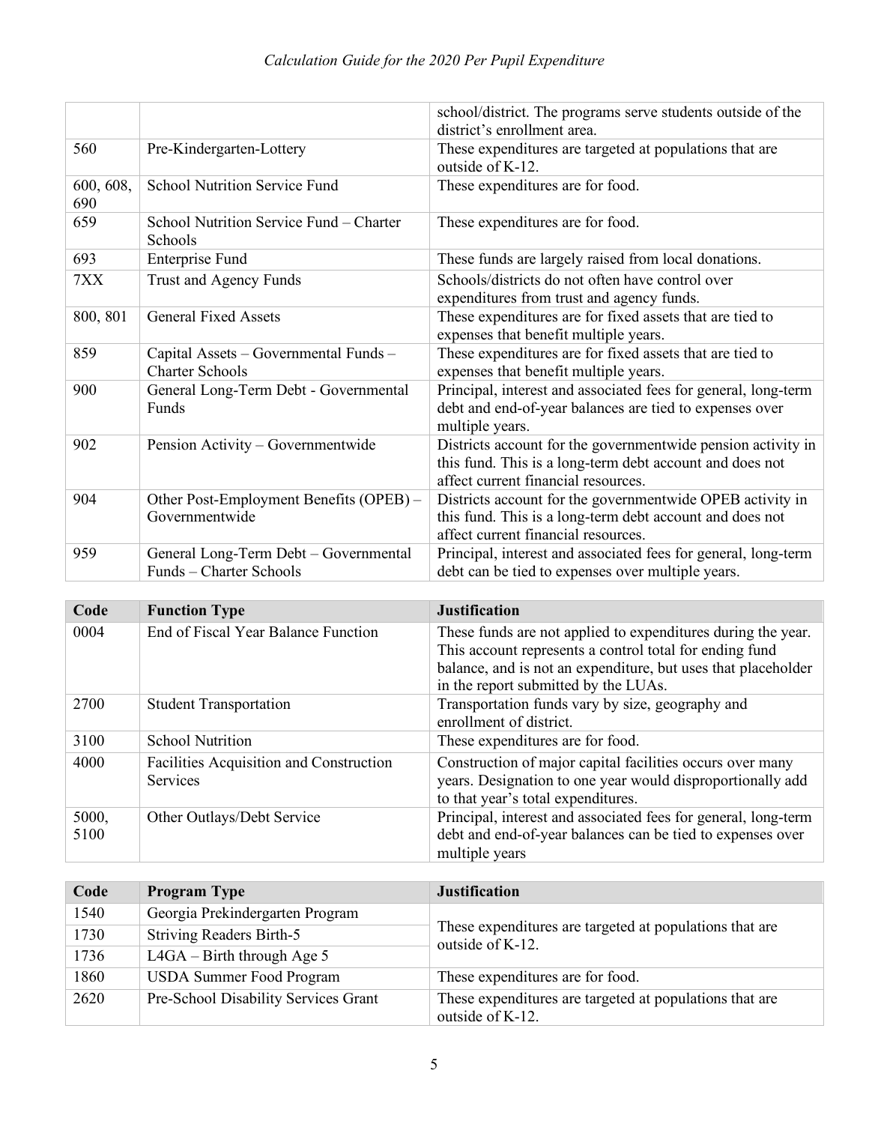|                  |                                                                  | school/district. The programs serve students outside of the<br>district's enrollment area.                                                                      |
|------------------|------------------------------------------------------------------|-----------------------------------------------------------------------------------------------------------------------------------------------------------------|
| 560              | Pre-Kindergarten-Lottery                                         | These expenditures are targeted at populations that are<br>outside of K-12.                                                                                     |
| 600, 608,<br>690 | <b>School Nutrition Service Fund</b>                             | These expenditures are for food.                                                                                                                                |
| 659              | School Nutrition Service Fund - Charter<br>Schools               | These expenditures are for food.                                                                                                                                |
| 693              | <b>Enterprise Fund</b>                                           | These funds are largely raised from local donations.                                                                                                            |
| 7XX              | Trust and Agency Funds                                           | Schools/districts do not often have control over<br>expenditures from trust and agency funds.                                                                   |
| 800, 801         | <b>General Fixed Assets</b>                                      | These expenditures are for fixed assets that are tied to<br>expenses that benefit multiple years.                                                               |
| 859              | Capital Assets - Governmental Funds -<br><b>Charter Schools</b>  | These expenditures are for fixed assets that are tied to<br>expenses that benefit multiple years.                                                               |
| 900              | General Long-Term Debt - Governmental<br>Funds                   | Principal, interest and associated fees for general, long-term<br>debt and end-of-year balances are tied to expenses over<br>multiple years.                    |
| 902              | Pension Activity - Governmentwide                                | Districts account for the governmentwide pension activity in<br>this fund. This is a long-term debt account and does not<br>affect current financial resources. |
| 904              | Other Post-Employment Benefits (OPEB) -<br>Governmentwide        | Districts account for the governmentwide OPEB activity in<br>this fund. This is a long-term debt account and does not<br>affect current financial resources.    |
| 959              | General Long-Term Debt - Governmental<br>Funds – Charter Schools | Principal, interest and associated fees for general, long-term<br>debt can be tied to expenses over multiple years.                                             |

| Code          | <b>Function Type</b>                                | <b>Justification</b>                                                                                                                                                                                                             |
|---------------|-----------------------------------------------------|----------------------------------------------------------------------------------------------------------------------------------------------------------------------------------------------------------------------------------|
| 0004          | End of Fiscal Year Balance Function                 | These funds are not applied to expenditures during the year.<br>This account represents a control total for ending fund<br>balance, and is not an expenditure, but uses that placeholder<br>in the report submitted by the LUAs. |
| 2700          | <b>Student Transportation</b>                       | Transportation funds vary by size, geography and<br>enrollment of district.                                                                                                                                                      |
| 3100          | <b>School Nutrition</b>                             | These expenditures are for food.                                                                                                                                                                                                 |
| 4000          | Facilities Acquisition and Construction<br>Services | Construction of major capital facilities occurs over many<br>years. Designation to one year would disproportionally add<br>to that year's total expenditures.                                                                    |
| 5000,<br>5100 | Other Outlays/Debt Service                          | Principal, interest and associated fees for general, long-term<br>debt and end-of-year balances can be tied to expenses over<br>multiple years                                                                                   |

| Code | <b>Program Type</b>                  | <b>Justification</b>                                                        |
|------|--------------------------------------|-----------------------------------------------------------------------------|
| 1540 | Georgia Prekindergarten Program      |                                                                             |
| 1730 | <b>Striving Readers Birth-5</b>      | These expenditures are targeted at populations that are<br>outside of K-12. |
| 1736 | $L4GA - Birth through Age 5$         |                                                                             |
| 1860 | <b>USDA Summer Food Program</b>      | These expenditures are for food.                                            |
| 2620 | Pre-School Disability Services Grant | These expenditures are targeted at populations that are<br>outside of K-12. |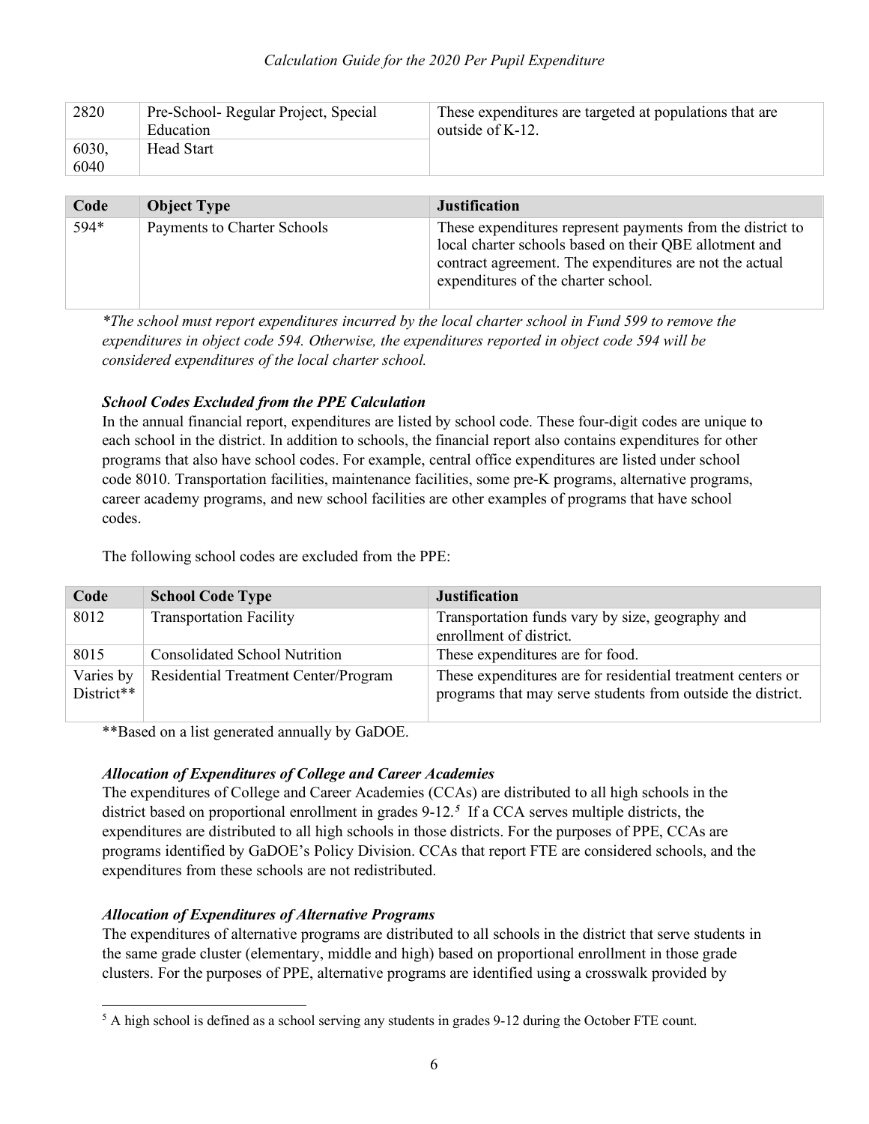| 2820          | Pre-School- Regular Project, Special<br>Education | These expenditures are targeted at populations that are<br>outside of $K-12$ . |
|---------------|---------------------------------------------------|--------------------------------------------------------------------------------|
| 6030.<br>6040 | Head Start                                        |                                                                                |

| Code | <b>Object Type</b>          | <b>Justification</b>                                                                                                                                                                                                   |
|------|-----------------------------|------------------------------------------------------------------------------------------------------------------------------------------------------------------------------------------------------------------------|
| 594* | Payments to Charter Schools | These expenditures represent payments from the district to<br>local charter schools based on their QBE allotment and<br>contract agreement. The expenditures are not the actual<br>expenditures of the charter school. |

<span id="page-6-4"></span>*\*The school must report expenditures incurred by the local charter school in Fund 599 to remove the expenditures in object code 594. Otherwise, the expenditures reported in object code 594 will be considered expenditures of the local charter school.*

#### <span id="page-6-0"></span>*School Codes Excluded from the PPE Calculation*

In the annual financial report, expenditures are listed by school code. These four-digit codes are unique to each school in the district. In addition to schools, the financial report also contains expenditures for other programs that also have school codes. For example, central office expenditures are listed under school code 8010. Transportation facilities, maintenance facilities, some pre-K programs, alternative programs, career academy programs, and new school facilities are other examples of programs that have school codes.

The following school codes are excluded from the PPE:

| Code                    | <b>School Code Type</b>              | <b>Justification</b>                                                                                                       |
|-------------------------|--------------------------------------|----------------------------------------------------------------------------------------------------------------------------|
| 8012                    | <b>Transportation Facility</b>       | Transportation funds vary by size, geography and<br>enrollment of district.                                                |
| 8015                    | <b>Consolidated School Nutrition</b> | These expenditures are for food.                                                                                           |
| Varies by<br>District** | Residential Treatment Center/Program | These expenditures are for residential treatment centers or<br>programs that may serve students from outside the district. |

\*\*Based on a list generated annually by GaDOE.

#### <span id="page-6-1"></span>*Allocation of Expenditures of College and Career Academies*

The expenditures of College and Career Academies (CCAs) are distributed to all high schools in the district based on proportional enrollment in grades 9-12.*[5](#page-6-3)* If a CCA serves multiple districts, the expenditures are distributed to all high schools in those districts. For the purposes of PPE, CCAs are programs identified by GaDOE's Policy Division. CCAs that report FTE are considered schools, and the expenditures from these schools are not redistributed.

#### <span id="page-6-2"></span>*Allocation of Expenditures of Alternative Programs*

The expenditures of alternative programs are distributed to all schools in the district that serve students in the same grade cluster (elementary, middle and high) based on proportional enrollment in those grade clusters. For the purposes of PPE, alternative programs are identified using a crosswalk provided by

<span id="page-6-3"></span> $<sup>5</sup>$  A high school is defined as a school serving any students in grades 9-12 during the October FTE count.</sup>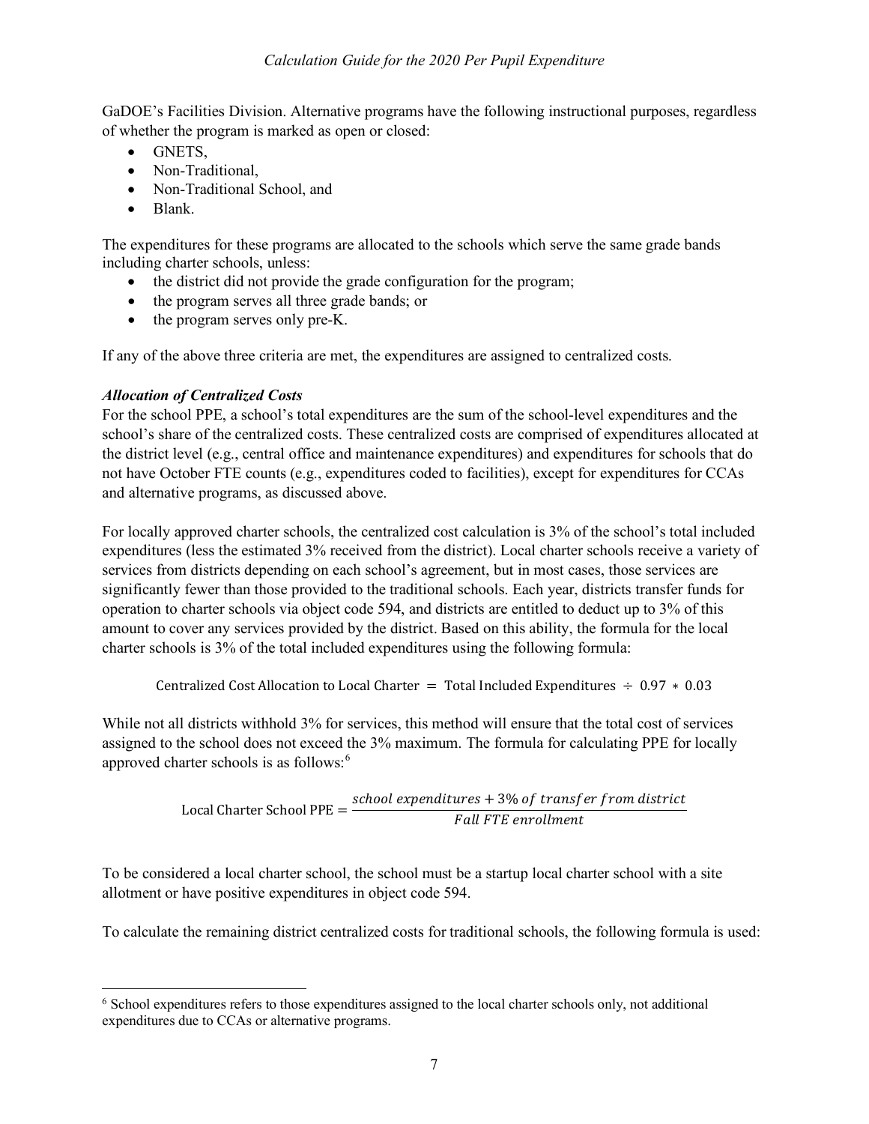GaDOE's Facilities Division. Alternative programs have the following instructional purposes, regardless of whether the program is marked as open or closed:

- GNETS,
- Non-Traditional.
- Non-Traditional School, and
- Blank.

The expenditures for these programs are allocated to the schools which serve the same grade bands including charter schools, unless:

- the district did not provide the grade configuration for the program;
- the program serves all three grade bands; or
- the program serves only pre-K.

If any of the above three criteria are met, the expenditures are assigned to centralized costs.

#### <span id="page-7-0"></span>*Allocation of Centralized Costs*

For the school PPE, a school's total expenditures are the sum of the school-level expenditures and the school's share of the centralized costs. These centralized costs are comprised of expenditures allocated at the district level (e.g., central office and maintenance expenditures) and expenditures for schools that do not have October FTE counts (e.g., expenditures coded to facilities), except for expenditures for CCAs and alternative programs, as discussed above.

For locally approved charter schools, the centralized cost calculation is 3% of the school's total included expenditures (less the estimated 3% received from the district). Local charter schools receive a variety of services from districts depending on each school's agreement, but in most cases, those services are significantly fewer than those provided to the traditional schools. Each year, districts transfer funds for operation to charter schools via object code 594, and districts are entitled to deduct up to 3% of this amount to cover any services provided by the district. Based on this ability, the formula for the local charter schools is 3% of the total included expenditures using the following formula:

Centralized Cost Allocation to Local Charter = Total included Expenditures 
$$
\div
$$
 0.97  $\ast$  0.03

While not all districts withhold 3% for services, this method will ensure that the total cost of services assigned to the school does not exceed the 3% maximum. The formula for calculating PPE for locally approved charter schools is as follows: $6$ 

$$
Local\,Charter\, School\, PPE = \frac{school\, expenditures + 3\% \, of\, transfer\, from\, district}{Fall\, FTE\, enrollment}
$$

To be considered a local charter school, the school must be a startup local charter school with a site allotment or have positive expenditures in object code 594.

To calculate the remaining district centralized costs for traditional schools, the following formula is used:

<span id="page-7-1"></span><sup>6</sup> School expenditures refers to those expenditures assigned to the local charter schools only, not additional expenditures due to CCAs or alternative programs.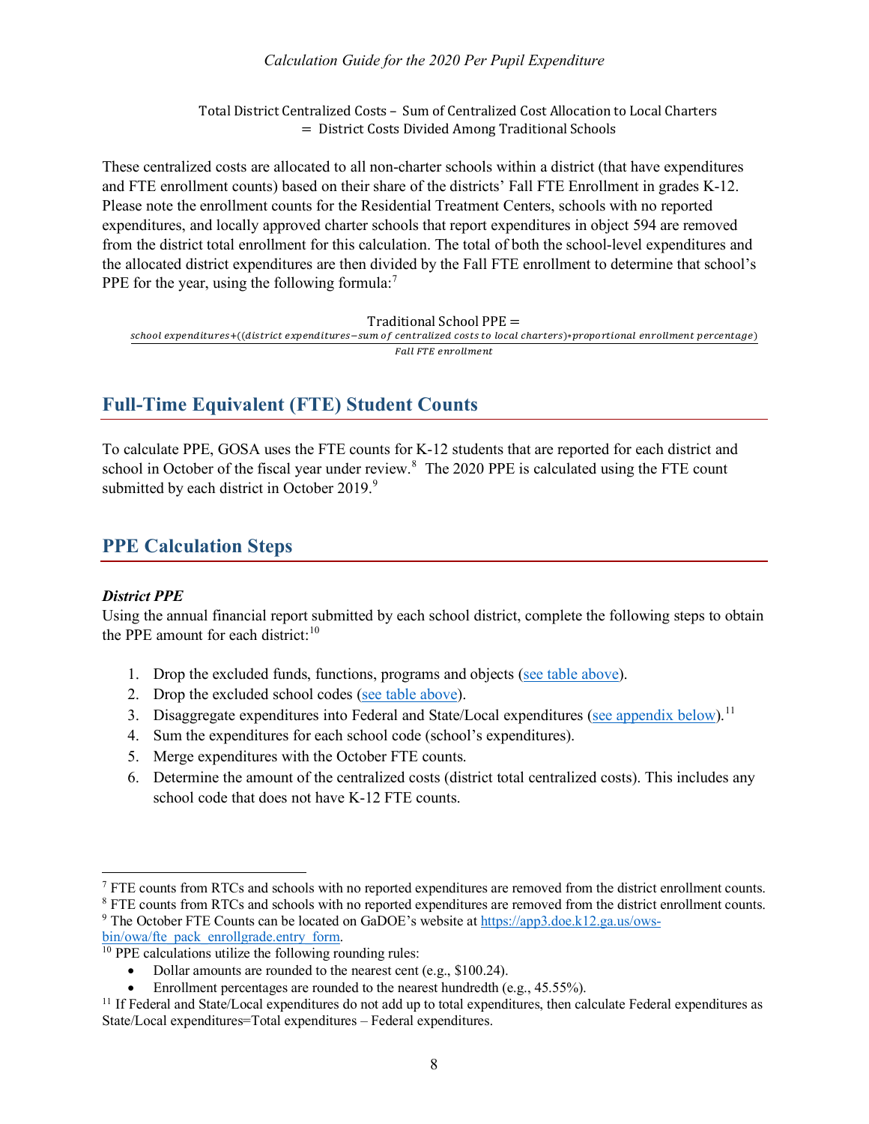#### *Calculation Guide for the 2020 Per Pupil Expenditure*

Total District Centralized Costs – Sum of Centralized Cost Allocation to Local Charters = District Costs Divided Among Traditional Schools

These centralized costs are allocated to all non-charter schools within a district (that have expenditures and FTE enrollment counts) based on their share of the districts' Fall FTE Enrollment in grades K-12. Please note the enrollment counts for the Residential Treatment Centers, schools with no reported expenditures, and locally approved charter schools that report expenditures in object 594 are removed from the district total enrollment for this calculation. The total of both the school-level expenditures and the allocated district expenditures are then divided by the Fall FTE enrollment to determine that school's PPE for the year, using the following formula:<sup>[7](#page-8-3)</sup>

Traditional School PPE =

school expenditures+((district expenditures-sum of centralized costs to local charters)\*proportional enrollment percentage) Fall FTE enrollment

## <span id="page-8-0"></span>**Full-Time Equivalent (FTE) Student Counts**

To calculate PPE, GOSA uses the FTE counts for K-12 students that are reported for each district and school in October of the fiscal year under review.<sup>[8](#page-8-4)</sup> The 2020 PPE is calculated using the FTE count submitted by each district in October 201[9](#page-8-5). $9$ 

## <span id="page-8-1"></span>**PPE Calculation Steps**

#### <span id="page-8-2"></span>*District PPE*

Using the annual financial report submitted by each school district, complete the following steps to obtain the PPE amount for each district:<sup>[10](#page-8-6)</sup>

- 1. Drop the excluded funds, functions, programs and objects [\(see table above\)](#page-4-0).
- 2. Drop the excluded school codes [\(see table above\)](#page-6-4).
- 3. Disaggregate expenditures into Federal and State/Local expenditures [\(see appendix below\)](#page-11-0).<sup>[11](#page-8-7)</sup>
- 4. Sum the expenditures for each school code (school's expenditures).
- 5. Merge expenditures with the October FTE counts.
- 6. Determine the amount of the centralized costs (district total centralized costs). This includes any school code that does not have K-12 FTE counts.

<span id="page-8-3"></span><sup>&</sup>lt;sup>7</sup> FTE counts from RTCs and schools with no reported expenditures are removed from the district enrollment counts.

<span id="page-8-4"></span><sup>&</sup>lt;sup>8</sup> FTE counts from RTCs and schools with no reported expenditures are removed from the district enrollment counts. <sup>9</sup> The October FTE Counts can be located on GaDOE's website a[t https://app3.doe.k12.ga.us/ows-](https://app3.doe.k12.ga.us/ows-bin/owa/fte_pack_enrollgrade.entry_form)

<span id="page-8-6"></span><span id="page-8-5"></span>bin/owa/fte\_pack\_enrollgrade.entry\_form.<br><sup>10</sup> PPE calculations utilize the following rounding rules:

<sup>•</sup> Dollar amounts are rounded to the nearest cent (e.g., \$100.24).

Enrollment percentages are rounded to the nearest hundredth (e.g., 45.55%).

<span id="page-8-7"></span> $11$  If Federal and State/Local expenditures do not add up to total expenditures, then calculate Federal expenditures as State/Local expenditures=Total expenditures – Federal expenditures.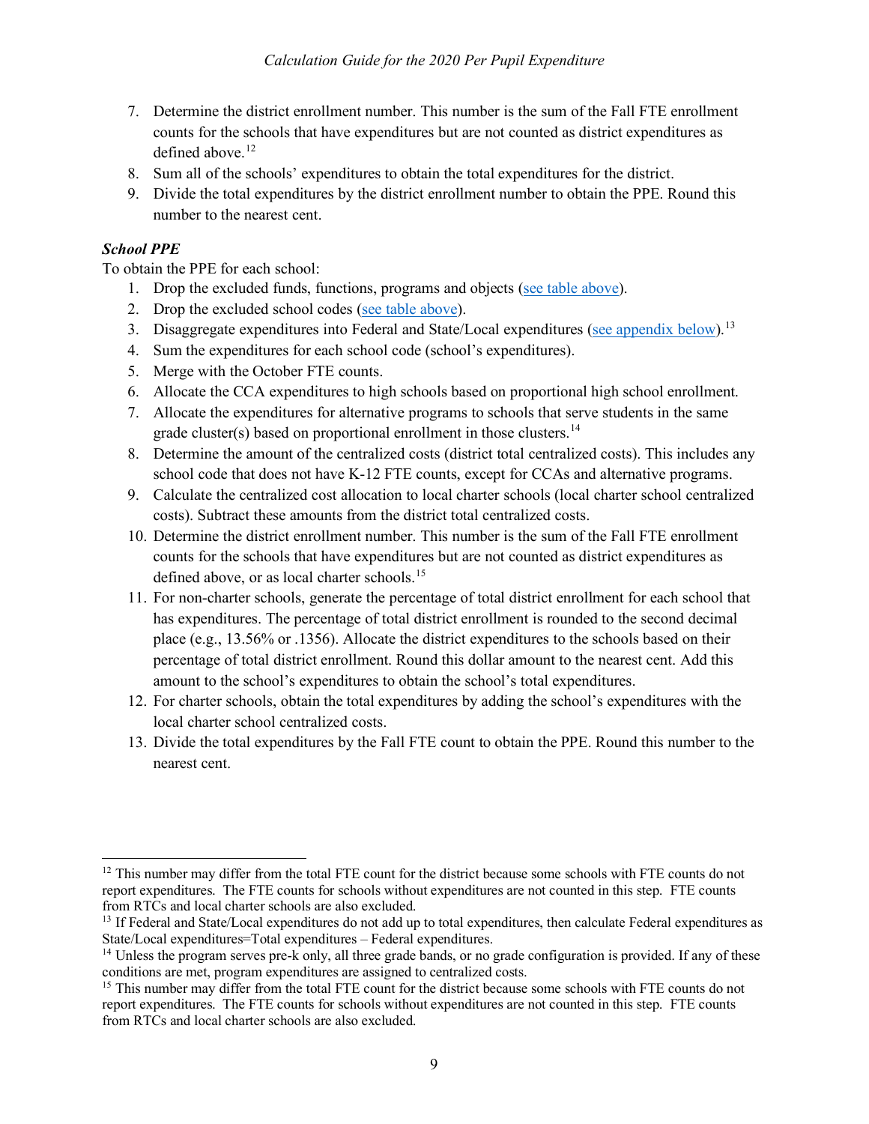- 7. Determine the district enrollment number. This number is the sum of the Fall FTE enrollment counts for the schools that have expenditures but are not counted as district expenditures as defined above. [12](#page-9-1)
- 8. Sum all of the schools' expenditures to obtain the total expenditures for the district.
- 9. Divide the total expenditures by the district enrollment number to obtain the PPE. Round this number to the nearest cent.

#### <span id="page-9-0"></span>*School PPE*

To obtain the PPE for each school:

- 1. Drop the excluded funds, functions, programs and objects [\(see table above\)](#page-4-2).
- 2. Drop the excluded school codes [\(see table above\)](#page-6-0).
- 3. Disaggregate expenditures into Federal and State/Local expenditures [\(see appendix below\)](#page-11-0).<sup>[13](#page-9-2)</sup>
- 4. Sum the expenditures for each school code (school's expenditures).
- 5. Merge with the October FTE counts.
- 6. Allocate the CCA expenditures to high schools based on proportional high school enrollment.
- 7. Allocate the expenditures for alternative programs to schools that serve students in the same grade cluster(s) based on proportional enrollment in those clusters.<sup>[14](#page-9-3)</sup>
- 8. Determine the amount of the centralized costs (district total centralized costs). This includes any school code that does not have K-12 FTE counts, except for CCAs and alternative programs.
- 9. Calculate the centralized cost allocation to local charter schools (local charter school centralized costs). Subtract these amounts from the district total centralized costs.
- 10. Determine the district enrollment number. This number is the sum of the Fall FTE enrollment counts for the schools that have expenditures but are not counted as district expenditures as defined above, or as local charter schools.<sup>[15](#page-9-4)</sup>
- 11. For non-charter schools, generate the percentage of total district enrollment for each school that has expenditures. The percentage of total district enrollment is rounded to the second decimal place (e.g., 13.56% or .1356). Allocate the district expenditures to the schools based on their percentage of total district enrollment. Round this dollar amount to the nearest cent. Add this amount to the school's expenditures to obtain the school's total expenditures.
- 12. For charter schools, obtain the total expenditures by adding the school's expenditures with the local charter school centralized costs.
- 13. Divide the total expenditures by the Fall FTE count to obtain the PPE. Round this number to the nearest cent.

<span id="page-9-1"></span> $12$  This number may differ from the total FTE count for the district because some schools with FTE counts do not report expenditures. The FTE counts for schools without expenditures are not counted in this step. FTE counts from RTCs and local charter schools are also excluded.

<span id="page-9-2"></span><sup>&</sup>lt;sup>13</sup> If Federal and State/Local expenditures do not add up to total expenditures, then calculate Federal expenditures as State/Local expenditures=Total expenditures – Federal expenditures.

<span id="page-9-3"></span><sup>&</sup>lt;sup>14</sup> Unless the program serves pre-k only, all three grade bands, or no grade configuration is provided. If any of these conditions are met, program expenditures are assigned to centralized costs.

<span id="page-9-4"></span><sup>&</sup>lt;sup>15</sup> This number may differ from the total FTE count for the district because some schools with FTE counts do not report expenditures. The FTE counts for schools without expenditures are not counted in this step. FTE counts from RTCs and local charter schools are also excluded.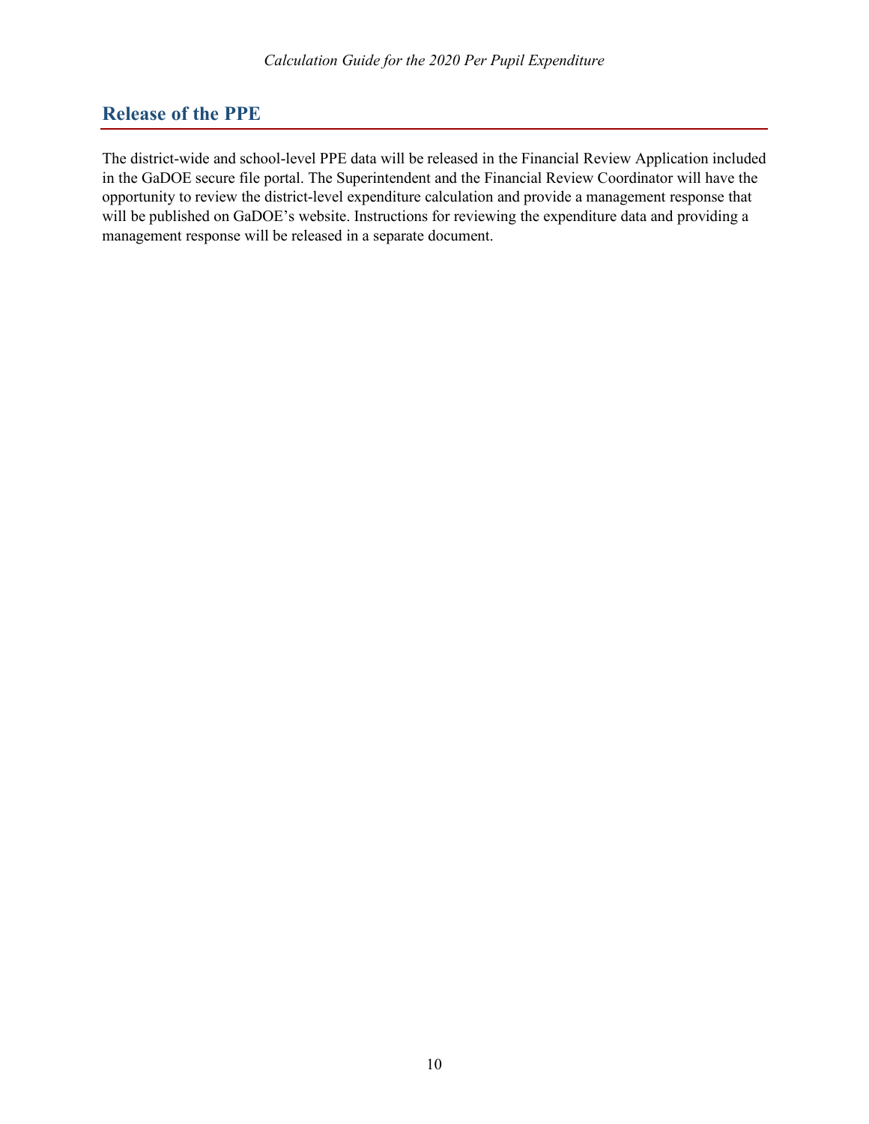## <span id="page-10-0"></span>**Release of the PPE**

The district-wide and school-level PPE data will be released in the Financial Review Application included in the GaDOE secure file portal. The Superintendent and the Financial Review Coordinator will have the opportunity to review the district-level expenditure calculation and provide a management response that will be published on GaDOE's website. Instructions for reviewing the expenditure data and providing a management response will be released in a separate document.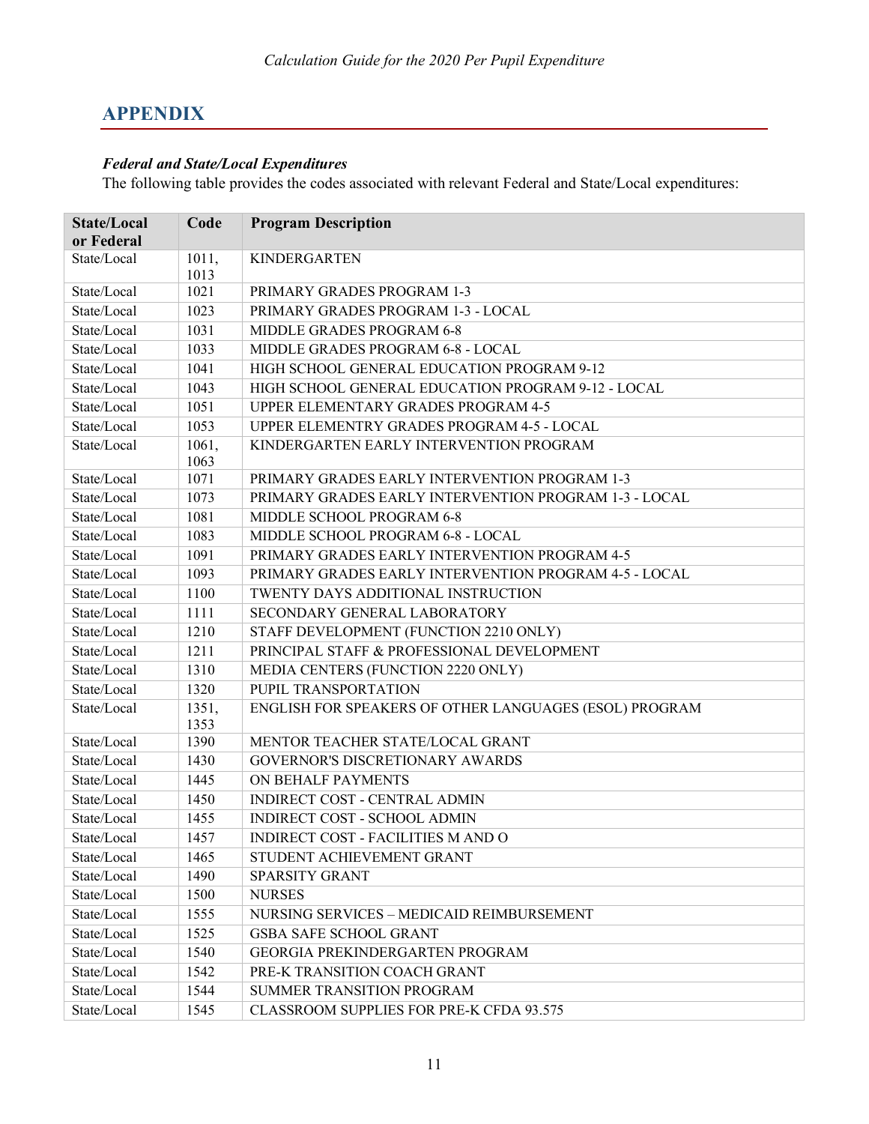## <span id="page-11-0"></span>**APPENDIX**

### <span id="page-11-1"></span>*Federal and State/Local Expenditures*

The following table provides the codes associated with relevant Federal and State/Local expenditures:

| <b>State/Local</b><br>or Federal | Code          | <b>Program Description</b>                             |
|----------------------------------|---------------|--------------------------------------------------------|
| State/Local                      | 1011,<br>1013 | KINDERGARTEN                                           |
| State/Local                      | 1021          | PRIMARY GRADES PROGRAM 1-3                             |
| State/Local                      | 1023          | PRIMARY GRADES PROGRAM 1-3 - LOCAL                     |
| State/Local                      | 1031          | MIDDLE GRADES PROGRAM 6-8                              |
| State/Local                      | 1033          | MIDDLE GRADES PROGRAM 6-8 - LOCAL                      |
| State/Local                      | 1041          | HIGH SCHOOL GENERAL EDUCATION PROGRAM 9-12             |
| State/Local                      | 1043          | HIGH SCHOOL GENERAL EDUCATION PROGRAM 9-12 - LOCAL     |
| State/Local                      | 1051          | UPPER ELEMENTARY GRADES PROGRAM 4-5                    |
| State/Local                      | 1053          | UPPER ELEMENTRY GRADES PROGRAM 4-5 - LOCAL             |
| State/Local                      | 1061,<br>1063 | KINDERGARTEN EARLY INTERVENTION PROGRAM                |
| State/Local                      | 1071          | PRIMARY GRADES EARLY INTERVENTION PROGRAM 1-3          |
| State/Local                      | 1073          | PRIMARY GRADES EARLY INTERVENTION PROGRAM 1-3 - LOCAL  |
| State/Local                      | 1081          | MIDDLE SCHOOL PROGRAM 6-8                              |
| State/Local                      | 1083          | MIDDLE SCHOOL PROGRAM 6-8 - LOCAL                      |
| State/Local                      | 1091          | PRIMARY GRADES EARLY INTERVENTION PROGRAM 4-5          |
| State/Local                      | 1093          | PRIMARY GRADES EARLY INTERVENTION PROGRAM 4-5 - LOCAL  |
| State/Local                      | 1100          | TWENTY DAYS ADDITIONAL INSTRUCTION                     |
| State/Local                      | 1111          | SECONDARY GENERAL LABORATORY                           |
| State/Local                      | 1210          | STAFF DEVELOPMENT (FUNCTION 2210 ONLY)                 |
| State/Local                      | 1211          | PRINCIPAL STAFF & PROFESSIONAL DEVELOPMENT             |
| State/Local                      | 1310          | MEDIA CENTERS (FUNCTION 2220 ONLY)                     |
| State/Local                      | 1320          | PUPIL TRANSPORTATION                                   |
| State/Local                      | 1351,<br>1353 | ENGLISH FOR SPEAKERS OF OTHER LANGUAGES (ESOL) PROGRAM |
| State/Local                      | 1390          | MENTOR TEACHER STATE/LOCAL GRANT                       |
| State/Local                      | 1430          | GOVERNOR'S DISCRETIONARY AWARDS                        |
| State/Local                      | 1445          | ON BEHALF PAYMENTS                                     |
| State/Local                      | 1450          | INDIRECT COST - CENTRAL ADMIN                          |
| State/Local                      | 1455          | <b>INDIRECT COST - SCHOOL ADMIN</b>                    |
| State/Local                      | 1457          | INDIRECT COST - FACILITIES M AND O                     |
| State/Local                      | 1465          | STUDENT ACHIEVEMENT GRANT                              |
| State/Local                      | 1490          | <b>SPARSITY GRANT</b>                                  |
| State/Local                      | 1500          | <b>NURSES</b>                                          |
| State/Local                      | 1555          | NURSING SERVICES - MEDICAID REIMBURSEMENT              |
| State/Local                      | 1525          | <b>GSBA SAFE SCHOOL GRANT</b>                          |
| State/Local                      | 1540          | GEORGIA PREKINDERGARTEN PROGRAM                        |
| State/Local                      | 1542          | PRE-K TRANSITION COACH GRANT                           |
| State/Local                      | 1544          | SUMMER TRANSITION PROGRAM                              |
| State/Local                      | 1545          | CLASSROOM SUPPLIES FOR PRE-K CFDA 93.575               |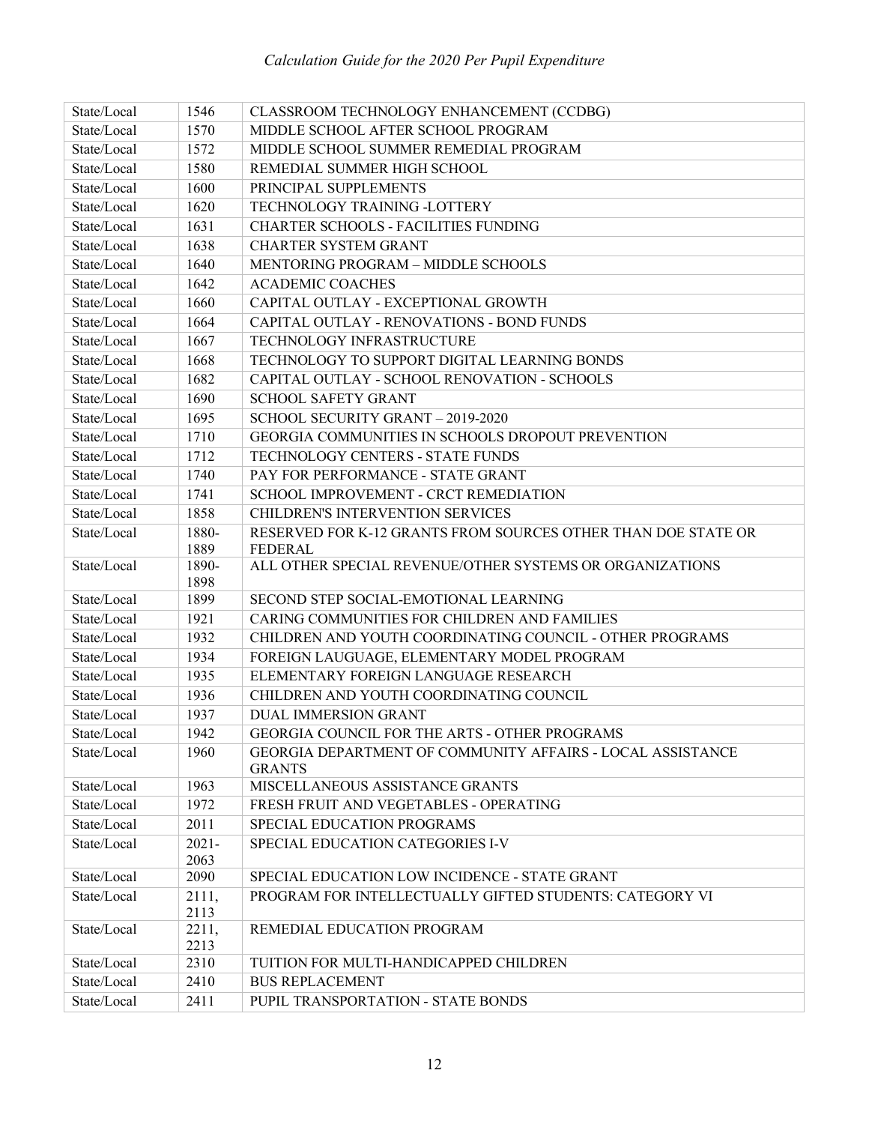| State/Local | 1546          | CLASSROOM TECHNOLOGY ENHANCEMENT (CCDBG)                                    |
|-------------|---------------|-----------------------------------------------------------------------------|
| State/Local | 1570          | MIDDLE SCHOOL AFTER SCHOOL PROGRAM                                          |
| State/Local | 1572          | MIDDLE SCHOOL SUMMER REMEDIAL PROGRAM                                       |
| State/Local | 1580          | REMEDIAL SUMMER HIGH SCHOOL                                                 |
| State/Local | 1600          | PRINCIPAL SUPPLEMENTS                                                       |
| State/Local | 1620          | TECHNOLOGY TRAINING -LOTTERY                                                |
| State/Local | 1631          | <b>CHARTER SCHOOLS - FACILITIES FUNDING</b>                                 |
| State/Local | 1638          | <b>CHARTER SYSTEM GRANT</b>                                                 |
| State/Local | 1640          | MENTORING PROGRAM - MIDDLE SCHOOLS                                          |
| State/Local | 1642          | <b>ACADEMIC COACHES</b>                                                     |
| State/Local | 1660          | CAPITAL OUTLAY - EXCEPTIONAL GROWTH                                         |
| State/Local | 1664          | CAPITAL OUTLAY - RENOVATIONS - BOND FUNDS                                   |
| State/Local | 1667          | TECHNOLOGY INFRASTRUCTURE                                                   |
| State/Local | 1668          | TECHNOLOGY TO SUPPORT DIGITAL LEARNING BONDS                                |
| State/Local | 1682          | CAPITAL OUTLAY - SCHOOL RENOVATION - SCHOOLS                                |
| State/Local | 1690          | <b>SCHOOL SAFETY GRANT</b>                                                  |
| State/Local | 1695          | SCHOOL SECURITY GRANT - 2019-2020                                           |
| State/Local | 1710          | GEORGIA COMMUNITIES IN SCHOOLS DROPOUT PREVENTION                           |
| State/Local | 1712          | TECHNOLOGY CENTERS - STATE FUNDS                                            |
| State/Local | 1740          | PAY FOR PERFORMANCE - STATE GRANT                                           |
| State/Local | 1741          | SCHOOL IMPROVEMENT - CRCT REMEDIATION                                       |
| State/Local | 1858          | CHILDREN'S INTERVENTION SERVICES                                            |
| State/Local | 1880-         | RESERVED FOR K-12 GRANTS FROM SOURCES OTHER THAN DOE STATE OR               |
|             | 1889          | <b>FEDERAL</b>                                                              |
| State/Local | 1890-<br>1898 | ALL OTHER SPECIAL REVENUE/OTHER SYSTEMS OR ORGANIZATIONS                    |
| State/Local | 1899          | SECOND STEP SOCIAL-EMOTIONAL LEARNING                                       |
| State/Local | 1921          | CARING COMMUNITIES FOR CHILDREN AND FAMILIES                                |
| State/Local | 1932          | CHILDREN AND YOUTH COORDINATING COUNCIL - OTHER PROGRAMS                    |
| State/Local | 1934          | FOREIGN LAUGUAGE, ELEMENTARY MODEL PROGRAM                                  |
| State/Local | 1935          | ELEMENTARY FOREIGN LANGUAGE RESEARCH                                        |
| State/Local | 1936          | CHILDREN AND YOUTH COORDINATING COUNCIL                                     |
| State/Local | 1937          | <b>DUAL IMMERSION GRANT</b>                                                 |
| State/Local | 1942          | <b>GEORGIA COUNCIL FOR THE ARTS - OTHER PROGRAMS</b>                        |
| State/Local | 1960          | GEORGIA DEPARTMENT OF COMMUNITY AFFAIRS - LOCAL ASSISTANCE<br><b>GRANTS</b> |
| State/Local | 1963          | MISCELLANEOUS ASSISTANCE GRANTS                                             |
| State/Local | 1972          | FRESH FRUIT AND VEGETABLES - OPERATING                                      |
| State/Local | 2011          | SPECIAL EDUCATION PROGRAMS                                                  |
| State/Local | $2021 -$      | SPECIAL EDUCATION CATEGORIES I-V                                            |
|             | 2063          |                                                                             |
| State/Local | 2090          | SPECIAL EDUCATION LOW INCIDENCE - STATE GRANT                               |
| State/Local | 2111,<br>2113 | PROGRAM FOR INTELLECTUALLY GIFTED STUDENTS: CATEGORY VI                     |
| State/Local | 2211,<br>2213 | REMEDIAL EDUCATION PROGRAM                                                  |
| State/Local | 2310          | TUITION FOR MULTI-HANDICAPPED CHILDREN                                      |
| State/Local | 2410          | <b>BUS REPLACEMENT</b>                                                      |
| State/Local | 2411          | PUPIL TRANSPORTATION - STATE BONDS                                          |
|             |               |                                                                             |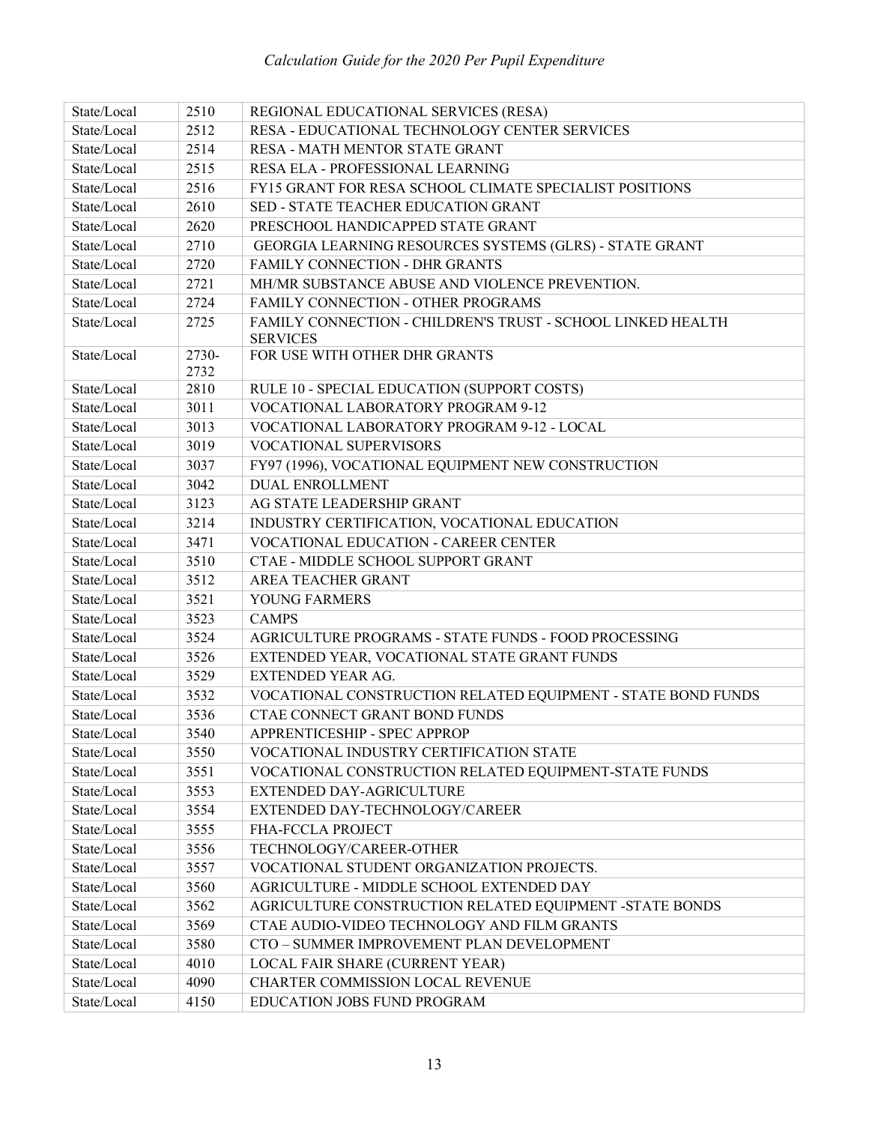| State/Local | 2510  | REGIONAL EDUCATIONAL SERVICES (RESA)                         |
|-------------|-------|--------------------------------------------------------------|
| State/Local | 2512  | RESA - EDUCATIONAL TECHNOLOGY CENTER SERVICES                |
| State/Local | 2514  | RESA - MATH MENTOR STATE GRANT                               |
| State/Local | 2515  | RESA ELA - PROFESSIONAL LEARNING                             |
| State/Local | 2516  | FY15 GRANT FOR RESA SCHOOL CLIMATE SPECIALIST POSITIONS      |
| State/Local | 2610  | SED - STATE TEACHER EDUCATION GRANT                          |
| State/Local | 2620  | PRESCHOOL HANDICAPPED STATE GRANT                            |
| State/Local | 2710  | GEORGIA LEARNING RESOURCES SYSTEMS (GLRS) - STATE GRANT      |
| State/Local | 2720  | FAMILY CONNECTION - DHR GRANTS                               |
| State/Local | 2721  | MH/MR SUBSTANCE ABUSE AND VIOLENCE PREVENTION.               |
| State/Local | 2724  | FAMILY CONNECTION - OTHER PROGRAMS                           |
| State/Local | 2725  | FAMILY CONNECTION - CHILDREN'S TRUST - SCHOOL LINKED HEALTH  |
|             |       | <b>SERVICES</b>                                              |
| State/Local | 2730- | FOR USE WITH OTHER DHR GRANTS                                |
|             | 2732  |                                                              |
| State/Local | 2810  | RULE 10 - SPECIAL EDUCATION (SUPPORT COSTS)                  |
| State/Local | 3011  | VOCATIONAL LABORATORY PROGRAM 9-12                           |
| State/Local | 3013  | VOCATIONAL LABORATORY PROGRAM 9-12 - LOCAL                   |
| State/Local | 3019  | VOCATIONAL SUPERVISORS                                       |
| State/Local | 3037  | FY97 (1996), VOCATIONAL EQUIPMENT NEW CONSTRUCTION           |
| State/Local | 3042  | <b>DUAL ENROLLMENT</b>                                       |
| State/Local | 3123  | AG STATE LEADERSHIP GRANT                                    |
| State/Local | 3214  | INDUSTRY CERTIFICATION, VOCATIONAL EDUCATION                 |
| State/Local | 3471  | <b>VOCATIONAL EDUCATION - CAREER CENTER</b>                  |
| State/Local | 3510  | CTAE - MIDDLE SCHOOL SUPPORT GRANT                           |
| State/Local | 3512  | AREA TEACHER GRANT                                           |
| State/Local | 3521  | YOUNG FARMERS                                                |
| State/Local | 3523  | <b>CAMPS</b>                                                 |
| State/Local | 3524  | AGRICULTURE PROGRAMS - STATE FUNDS - FOOD PROCESSING         |
| State/Local | 3526  | EXTENDED YEAR, VOCATIONAL STATE GRANT FUNDS                  |
| State/Local | 3529  | EXTENDED YEAR AG.                                            |
| State/Local | 3532  | VOCATIONAL CONSTRUCTION RELATED EQUIPMENT - STATE BOND FUNDS |
| State/Local | 3536  | CTAE CONNECT GRANT BOND FUNDS                                |
| State/Local | 3540  | APPRENTICESHIP - SPEC APPROP                                 |
| State/Local | 3550  | VOCATIONAL INDUSTRY CERTIFICATION STATE                      |
| State/Local | 3551  | VOCATIONAL CONSTRUCTION RELATED EQUIPMENT-STATE FUNDS        |
| State/Local | 3553  | EXTENDED DAY-AGRICULTURE                                     |
| State/Local | 3554  | EXTENDED DAY-TECHNOLOGY/CAREER                               |
| State/Local | 3555  | FHA-FCCLA PROJECT                                            |
| State/Local | 3556  | TECHNOLOGY/CAREER-OTHER                                      |
| State/Local | 3557  | VOCATIONAL STUDENT ORGANIZATION PROJECTS.                    |
| State/Local | 3560  | AGRICULTURE - MIDDLE SCHOOL EXTENDED DAY                     |
| State/Local | 3562  | AGRICULTURE CONSTRUCTION RELATED EQUIPMENT -STATE BONDS      |
| State/Local | 3569  | CTAE AUDIO-VIDEO TECHNOLOGY AND FILM GRANTS                  |
| State/Local | 3580  | CTO - SUMMER IMPROVEMENT PLAN DEVELOPMENT                    |
| State/Local | 4010  | LOCAL FAIR SHARE (CURRENT YEAR)                              |
| State/Local | 4090  | CHARTER COMMISSION LOCAL REVENUE                             |
| State/Local | 4150  | EDUCATION JOBS FUND PROGRAM                                  |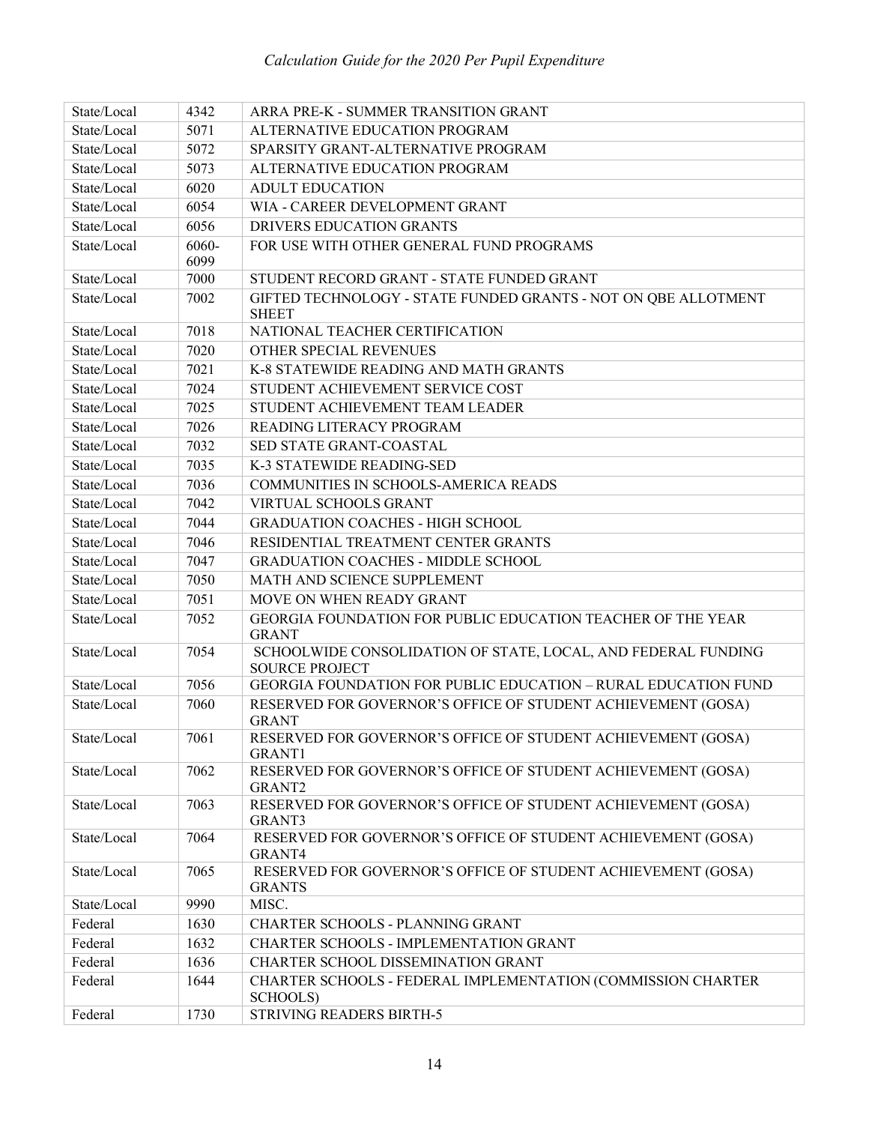| State/Local | 4342  | ARRA PRE-K - SUMMER TRANSITION GRANT                                                   |
|-------------|-------|----------------------------------------------------------------------------------------|
| State/Local | 5071  | ALTERNATIVE EDUCATION PROGRAM                                                          |
| State/Local | 5072  | SPARSITY GRANT-ALTERNATIVE PROGRAM                                                     |
| State/Local | 5073  | ALTERNATIVE EDUCATION PROGRAM                                                          |
| State/Local | 6020  | <b>ADULT EDUCATION</b>                                                                 |
| State/Local | 6054  | WIA - CAREER DEVELOPMENT GRANT                                                         |
| State/Local | 6056  | DRIVERS EDUCATION GRANTS                                                               |
| State/Local | 6060- | FOR USE WITH OTHER GENERAL FUND PROGRAMS                                               |
|             | 6099  |                                                                                        |
| State/Local | 7000  | STUDENT RECORD GRANT - STATE FUNDED GRANT                                              |
| State/Local | 7002  | GIFTED TECHNOLOGY - STATE FUNDED GRANTS - NOT ON OBE ALLOTMENT                         |
| State/Local | 7018  | <b>SHEET</b><br>NATIONAL TEACHER CERTIFICATION                                         |
| State/Local | 7020  | OTHER SPECIAL REVENUES                                                                 |
| State/Local | 7021  | K-8 STATEWIDE READING AND MATH GRANTS                                                  |
| State/Local | 7024  | STUDENT ACHIEVEMENT SERVICE COST                                                       |
| State/Local | 7025  | STUDENT ACHIEVEMENT TEAM LEADER                                                        |
| State/Local | 7026  | READING LITERACY PROGRAM                                                               |
| State/Local | 7032  | SED STATE GRANT-COASTAL                                                                |
| State/Local | 7035  | K-3 STATEWIDE READING-SED                                                              |
| State/Local | 7036  | COMMUNITIES IN SCHOOLS-AMERICA READS                                                   |
| State/Local | 7042  | VIRTUAL SCHOOLS GRANT                                                                  |
| State/Local | 7044  | <b>GRADUATION COACHES - HIGH SCHOOL</b>                                                |
| State/Local | 7046  | RESIDENTIAL TREATMENT CENTER GRANTS                                                    |
| State/Local | 7047  | <b>GRADUATION COACHES - MIDDLE SCHOOL</b>                                              |
| State/Local | 7050  | MATH AND SCIENCE SUPPLEMENT                                                            |
| State/Local | 7051  | MOVE ON WHEN READY GRANT                                                               |
| State/Local | 7052  | <b>GEORGIA FOUNDATION FOR PUBLIC EDUCATION TEACHER OF THE YEAR</b>                     |
|             |       | <b>GRANT</b>                                                                           |
| State/Local | 7054  | SCHOOLWIDE CONSOLIDATION OF STATE, LOCAL, AND FEDERAL FUNDING<br><b>SOURCE PROJECT</b> |
| State/Local | 7056  | GEORGIA FOUNDATION FOR PUBLIC EDUCATION - RURAL EDUCATION FUND                         |
| State/Local | 7060  | RESERVED FOR GOVERNOR'S OFFICE OF STUDENT ACHIEVEMENT (GOSA)<br><b>GRANT</b>           |
| State/Local | 7061  | RESERVED FOR GOVERNOR'S OFFICE OF STUDENT ACHIEVEMENT (GOSA)<br><b>GRANT1</b>          |
| State/Local | 7062  | RESERVED FOR GOVERNOR'S OFFICE OF STUDENT ACHIEVEMENT (GOSA)<br>GRANT <sub>2</sub>     |
| State/Local | 7063  | RESERVED FOR GOVERNOR'S OFFICE OF STUDENT ACHIEVEMENT (GOSA)<br>GRANT3                 |
| State/Local | 7064  | RESERVED FOR GOVERNOR'S OFFICE OF STUDENT ACHIEVEMENT (GOSA)<br>GRANT4                 |
| State/Local | 7065  | RESERVED FOR GOVERNOR'S OFFICE OF STUDENT ACHIEVEMENT (GOSA)<br><b>GRANTS</b>          |
| State/Local | 9990  | MISC.                                                                                  |
| Federal     | 1630  | CHARTER SCHOOLS - PLANNING GRANT                                                       |
| Federal     | 1632  | CHARTER SCHOOLS - IMPLEMENTATION GRANT                                                 |
| Federal     | 1636  | CHARTER SCHOOL DISSEMINATION GRANT                                                     |
| Federal     | 1644  | CHARTER SCHOOLS - FEDERAL IMPLEMENTATION (COMMISSION CHARTER<br>SCHOOLS)               |
| Federal     | 1730  | STRIVING READERS BIRTH-5                                                               |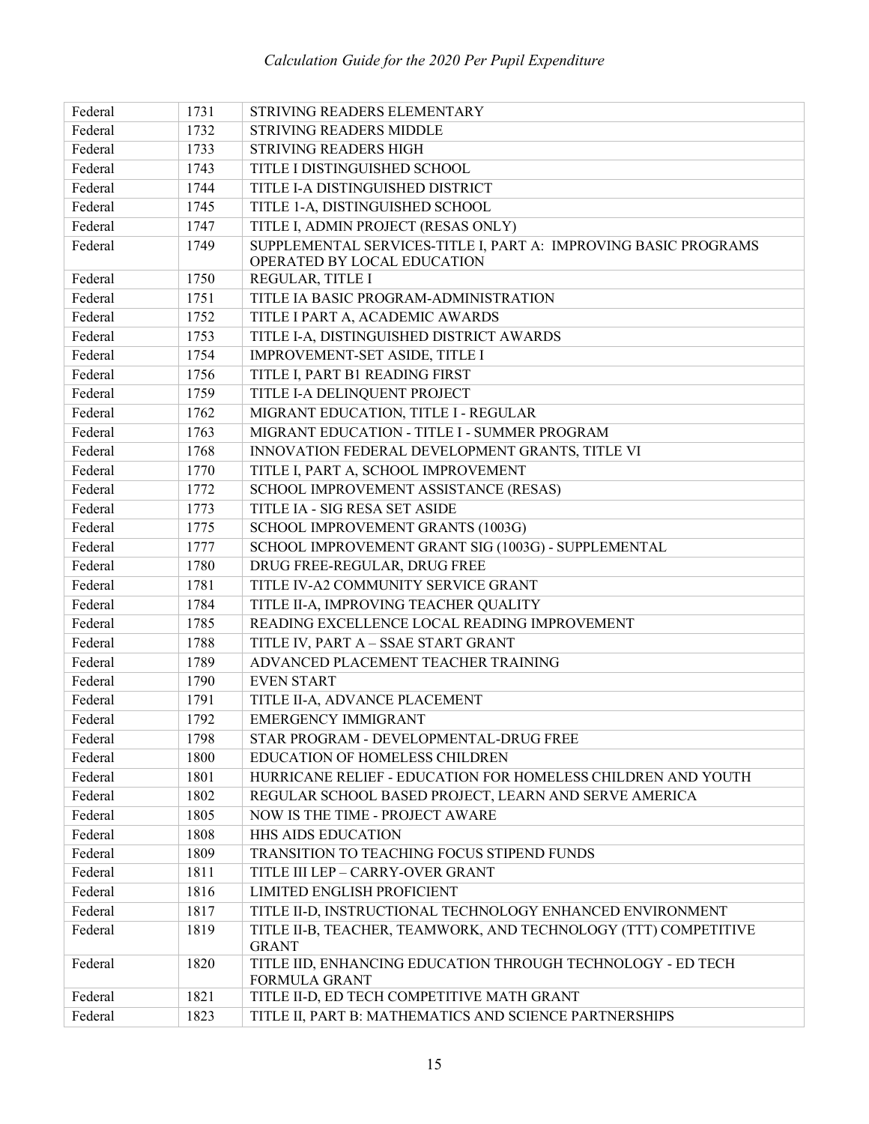| Federal | 1731 | STRIVING READERS ELEMENTARY                                                         |
|---------|------|-------------------------------------------------------------------------------------|
| Federal | 1732 | <b>STRIVING READERS MIDDLE</b>                                                      |
| Federal | 1733 | <b>STRIVING READERS HIGH</b>                                                        |
| Federal | 1743 | TITLE I DISTINGUISHED SCHOOL                                                        |
| Federal | 1744 | TITLE I-A DISTINGUISHED DISTRICT                                                    |
| Federal | 1745 | TITLE 1-A, DISTINGUISHED SCHOOL                                                     |
| Federal | 1747 | TITLE I, ADMIN PROJECT (RESAS ONLY)                                                 |
| Federal | 1749 | SUPPLEMENTAL SERVICES-TITLE I, PART A: IMPROVING BASIC PROGRAMS                     |
|         |      | OPERATED BY LOCAL EDUCATION                                                         |
| Federal | 1750 | REGULAR, TITLE I                                                                    |
| Federal | 1751 | TITLE IA BASIC PROGRAM-ADMINISTRATION                                               |
| Federal | 1752 | TITLE I PART A, ACADEMIC AWARDS                                                     |
| Federal | 1753 | TITLE I-A, DISTINGUISHED DISTRICT AWARDS                                            |
| Federal | 1754 | IMPROVEMENT-SET ASIDE, TITLE I                                                      |
| Federal | 1756 | TITLE I, PART B1 READING FIRST                                                      |
| Federal | 1759 | TITLE I-A DELINQUENT PROJECT                                                        |
| Federal | 1762 | MIGRANT EDUCATION, TITLE I - REGULAR                                                |
| Federal | 1763 | MIGRANT EDUCATION - TITLE I - SUMMER PROGRAM                                        |
| Federal | 1768 | INNOVATION FEDERAL DEVELOPMENT GRANTS, TITLE VI                                     |
| Federal | 1770 | TITLE I, PART A, SCHOOL IMPROVEMENT                                                 |
| Federal | 1772 | SCHOOL IMPROVEMENT ASSISTANCE (RESAS)                                               |
| Federal | 1773 | TITLE IA - SIG RESA SET ASIDE                                                       |
| Federal | 1775 | SCHOOL IMPROVEMENT GRANTS (1003G)                                                   |
| Federal | 1777 | SCHOOL IMPROVEMENT GRANT SIG (1003G) - SUPPLEMENTAL                                 |
| Federal | 1780 | DRUG FREE-REGULAR, DRUG FREE                                                        |
| Federal | 1781 | TITLE IV-A2 COMMUNITY SERVICE GRANT                                                 |
| Federal | 1784 | TITLE II-A, IMPROVING TEACHER QUALITY                                               |
| Federal | 1785 | READING EXCELLENCE LOCAL READING IMPROVEMENT                                        |
| Federal | 1788 | TITLE IV, PART A - SSAE START GRANT                                                 |
| Federal | 1789 | ADVANCED PLACEMENT TEACHER TRAINING                                                 |
| Federal | 1790 | <b>EVEN START</b>                                                                   |
| Federal | 1791 | TITLE II-A, ADVANCE PLACEMENT                                                       |
| Federal | 1792 | <b>EMERGENCY IMMIGRANT</b>                                                          |
| Federal | 1798 | STAR PROGRAM - DEVELOPMENTAL-DRUG FREE                                              |
| Federal | 1800 | EDUCATION OF HOMELESS CHILDREN                                                      |
| Federal | 1801 | HURRICANE RELIEF - EDUCATION FOR HOMELESS CHILDREN AND YOUTH                        |
| Federal | 1802 | REGULAR SCHOOL BASED PROJECT, LEARN AND SERVE AMERICA                               |
| Federal | 1805 | NOW IS THE TIME - PROJECT AWARE                                                     |
| Federal | 1808 | HHS AIDS EDUCATION                                                                  |
| Federal | 1809 | TRANSITION TO TEACHING FOCUS STIPEND FUNDS                                          |
| Federal | 1811 | TITLE III LEP - CARRY-OVER GRANT                                                    |
| Federal | 1816 | LIMITED ENGLISH PROFICIENT                                                          |
| Federal | 1817 | TITLE II-D, INSTRUCTIONAL TECHNOLOGY ENHANCED ENVIRONMENT                           |
| Federal | 1819 | TITLE II-B, TEACHER, TEAMWORK, AND TECHNOLOGY (TTT) COMPETITIVE<br><b>GRANT</b>     |
| Federal | 1820 | TITLE IID, ENHANCING EDUCATION THROUGH TECHNOLOGY - ED TECH<br><b>FORMULA GRANT</b> |
| Federal | 1821 | TITLE II-D, ED TECH COMPETITIVE MATH GRANT                                          |
| Federal | 1823 | TITLE II, PART B: MATHEMATICS AND SCIENCE PARTNERSHIPS                              |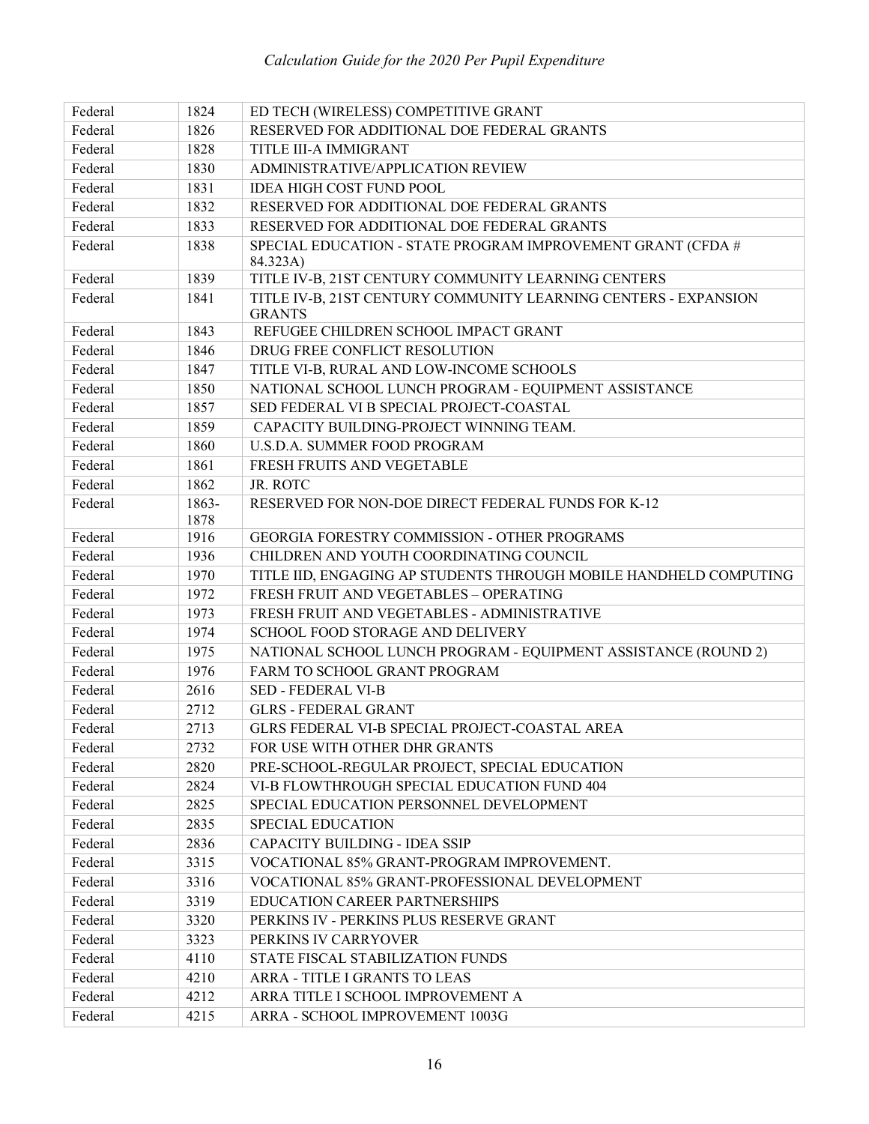| Federal | 1824  | ED TECH (WIRELESS) COMPETITIVE GRANT                              |
|---------|-------|-------------------------------------------------------------------|
| Federal | 1826  | RESERVED FOR ADDITIONAL DOE FEDERAL GRANTS                        |
| Federal | 1828  | TITLE III-A IMMIGRANT                                             |
| Federal | 1830  | ADMINISTRATIVE/APPLICATION REVIEW                                 |
| Federal | 1831  | IDEA HIGH COST FUND POOL                                          |
| Federal | 1832  | RESERVED FOR ADDITIONAL DOE FEDERAL GRANTS                        |
| Federal | 1833  | RESERVED FOR ADDITIONAL DOE FEDERAL GRANTS                        |
| Federal | 1838  | SPECIAL EDUCATION - STATE PROGRAM IMPROVEMENT GRANT (CFDA #       |
|         |       | 84.323A)                                                          |
| Federal | 1839  | TITLE IV-B, 21ST CENTURY COMMUNITY LEARNING CENTERS               |
| Federal | 1841  | TITLE IV-B, 21ST CENTURY COMMUNITY LEARNING CENTERS - EXPANSION   |
| Federal | 1843  | <b>GRANTS</b><br>REFUGEE CHILDREN SCHOOL IMPACT GRANT             |
| Federal | 1846  | DRUG FREE CONFLICT RESOLUTION                                     |
| Federal | 1847  | TITLE VI-B, RURAL AND LOW-INCOME SCHOOLS                          |
| Federal | 1850  | NATIONAL SCHOOL LUNCH PROGRAM - EQUIPMENT ASSISTANCE              |
| Federal | 1857  | SED FEDERAL VI B SPECIAL PROJECT-COASTAL                          |
| Federal | 1859  | CAPACITY BUILDING-PROJECT WINNING TEAM.                           |
| Federal | 1860  | U.S.D.A. SUMMER FOOD PROGRAM                                      |
| Federal | 1861  | FRESH FRUITS AND VEGETABLE                                        |
| Federal | 1862  | JR. ROTC                                                          |
| Federal | 1863- | RESERVED FOR NON-DOE DIRECT FEDERAL FUNDS FOR K-12                |
|         | 1878  |                                                                   |
| Federal | 1916  | GEORGIA FORESTRY COMMISSION - OTHER PROGRAMS                      |
| Federal | 1936  | CHILDREN AND YOUTH COORDINATING COUNCIL                           |
| Federal | 1970  | TITLE IID, ENGAGING AP STUDENTS THROUGH MOBILE HANDHELD COMPUTING |
| Federal | 1972  | FRESH FRUIT AND VEGETABLES - OPERATING                            |
| Federal | 1973  | FRESH FRUIT AND VEGETABLES - ADMINISTRATIVE                       |
| Federal | 1974  | SCHOOL FOOD STORAGE AND DELIVERY                                  |
| Federal | 1975  | NATIONAL SCHOOL LUNCH PROGRAM - EQUIPMENT ASSISTANCE (ROUND 2)    |
| Federal | 1976  | FARM TO SCHOOL GRANT PROGRAM                                      |
| Federal | 2616  | <b>SED - FEDERAL VI-B</b>                                         |
| Federal | 2712  | <b>GLRS - FEDERAL GRANT</b>                                       |
| Federal | 2713  | GLRS FEDERAL VI-B SPECIAL PROJECT-COASTAL AREA                    |
| Federal | 2732  | FOR USE WITH OTHER DHR GRANTS                                     |
| Federal | 2820  | PRE-SCHOOL-REGULAR PROJECT, SPECIAL EDUCATION                     |
| Federal | 2824  | VI-B FLOWTHROUGH SPECIAL EDUCATION FUND 404                       |
| Federal | 2825  | SPECIAL EDUCATION PERSONNEL DEVELOPMENT                           |
| Federal | 2835  | SPECIAL EDUCATION                                                 |
| Federal | 2836  | <b>CAPACITY BUILDING - IDEA SSIP</b>                              |
| Federal | 3315  | VOCATIONAL 85% GRANT-PROGRAM IMPROVEMENT.                         |
| Federal | 3316  | VOCATIONAL 85% GRANT-PROFESSIONAL DEVELOPMENT                     |
| Federal | 3319  | EDUCATION CAREER PARTNERSHIPS                                     |
| Federal | 3320  | PERKINS IV - PERKINS PLUS RESERVE GRANT                           |
| Federal | 3323  | PERKINS IV CARRYOVER                                              |
| Federal | 4110  | STATE FISCAL STABILIZATION FUNDS                                  |
| Federal | 4210  | ARRA - TITLE I GRANTS TO LEAS                                     |
| Federal | 4212  | ARRA TITLE I SCHOOL IMPROVEMENT A                                 |
| Federal | 4215  | ARRA - SCHOOL IMPROVEMENT 1003G                                   |